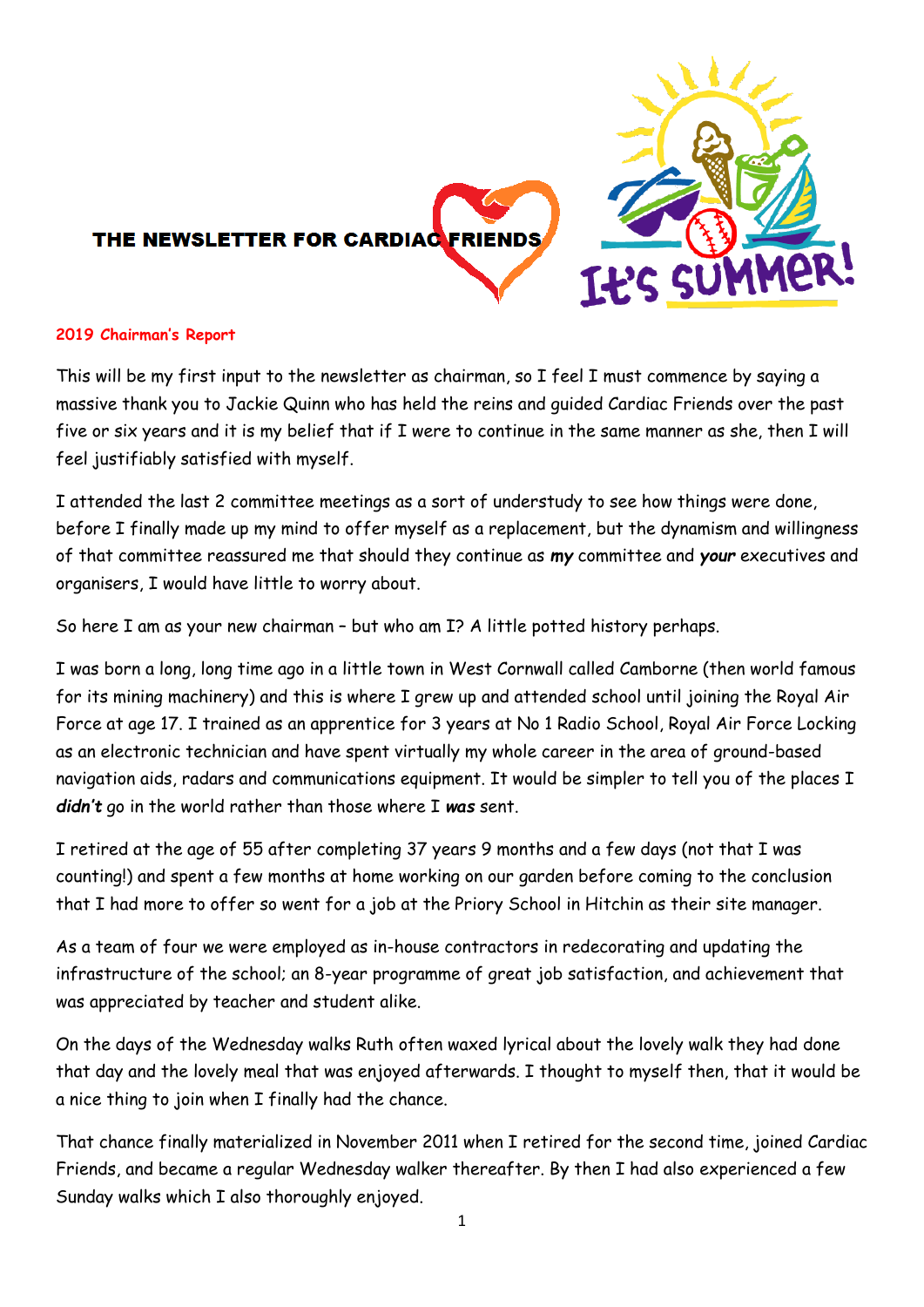

#### **2019 Chairman's Report**

This will be my first input to the newsletter as chairman, so I feel I must commence by saying a massive thank you to Jackie Quinn who has held the reins and guided Cardiac Friends over the past five or six years and it is my belief that if I were to continue in the same manner as she, then I will feel justifiably satisfied with myself.

I attended the last 2 committee meetings as a sort of understudy to see how things were done, before I finally made up my mind to offer myself as a replacement, but the dynamism and willingness of that committee reassured me that should they continue as *my* committee and *your* executives and organisers, I would have little to worry about.

So here I am as your new chairman – but who am I? A little potted history perhaps.

I was born a long, long time ago in a little town in West Cornwall called Camborne (then world famous for its mining machinery) and this is where I grew up and attended school until joining the Royal Air Force at age 17. I trained as an apprentice for 3 years at No 1 Radio School, Royal Air Force Locking as an electronic technician and have spent virtually my whole career in the area of ground-based navigation aids, radars and communications equipment. It would be simpler to tell you of the places I *didn't* go in the world rather than those where I *was* sent.

I retired at the age of 55 after completing 37 years 9 months and a few days (not that I was counting!) and spent a few months at home working on our garden before coming to the conclusion that I had more to offer so went for a job at the Priory School in Hitchin as their site manager.

As a team of four we were employed as in-house contractors in redecorating and updating the infrastructure of the school; an 8-year programme of great job satisfaction, and achievement that was appreciated by teacher and student alike.

On the days of the Wednesday walks Ruth often waxed lyrical about the lovely walk they had done that day and the lovely meal that was enjoyed afterwards. I thought to myself then, that it would be a nice thing to join when I finally had the chance.

That chance finally materialized in November 2011 when I retired for the second time, joined Cardiac Friends, and became a regular Wednesday walker thereafter. By then I had also experienced a few Sunday walks which I also thoroughly enjoyed.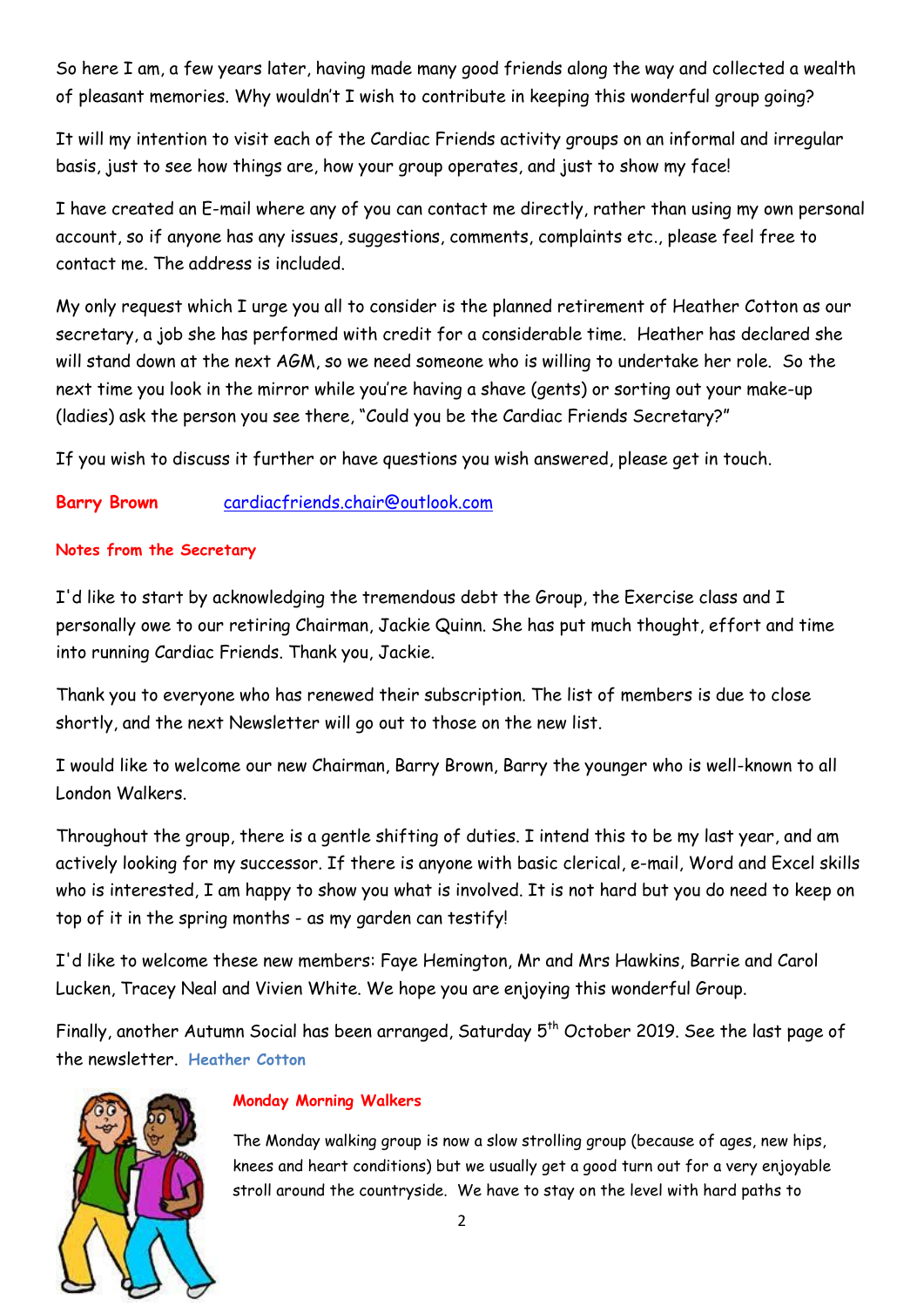So here I am, a few years later, having made many good friends along the way and collected a wealth of pleasant memories. Why wouldn't I wish to contribute in keeping this wonderful group going?

It will my intention to visit each of the Cardiac Friends activity groups on an informal and irregular basis, just to see how things are, how your group operates, and just to show my face!

I have created an E-mail where any of you can contact me directly, rather than using my own personal account, so if anyone has any issues, suggestions, comments, complaints etc., please feel free to contact me. The address is included.

My only request which I urge you all to consider is the planned retirement of Heather Cotton as our secretary, a job she has performed with credit for a considerable time. Heather has declared she will stand down at the next AGM, so we need someone who is willing to undertake her role. So the next time you look in the mirror while you're having a shave (gents) or sorting out your make-up (ladies) ask the person you see there, "Could you be the Cardiac Friends Secretary?"

If you wish to discuss it further or have questions you wish answered, please get in touch.

# **Barry Brown** [cardiacfriends.chair@outlook.com](mailto:cardiacfriends.chair@outlook.com)

## **Notes from the Secretary**

I'd like to start by acknowledging the tremendous debt the Group, the Exercise class and I personally owe to our retiring Chairman, Jackie Quinn. She has put much thought, effort and time into running Cardiac Friends. Thank you, Jackie.

Thank you to everyone who has renewed their subscription. The list of members is due to close shortly, and the next Newsletter will go out to those on the new list.

I would like to welcome our new Chairman, Barry Brown, Barry the younger who is well-known to all London Walkers.

Throughout the group, there is a gentle shifting of duties. I intend this to be my last year, and am actively looking for my successor. If there is anyone with basic clerical, e-mail, Word and Excel skills who is interested, I am happy to show you what is involved. It is not hard but you do need to keep on top of it in the spring months - as my garden can testify!

I'd like to welcome these new members: Faye Hemington, Mr and Mrs Hawkins, Barrie and Carol Lucken, Tracey Neal and Vivien White. We hope you are enjoying this wonderful Group.

Finally, another Autumn Social has been arranged, Saturday 5<sup>th</sup> October 2019. See the last page of the newsletter. **Heather Cotton**



### **Monday Morning Walkers**

The Monday walking group is now a slow strolling group (because of ages, new hips, knees and heart conditions) but we usually get a good turn out for a very enjoyable stroll around the countryside. We have to stay on the level with hard paths to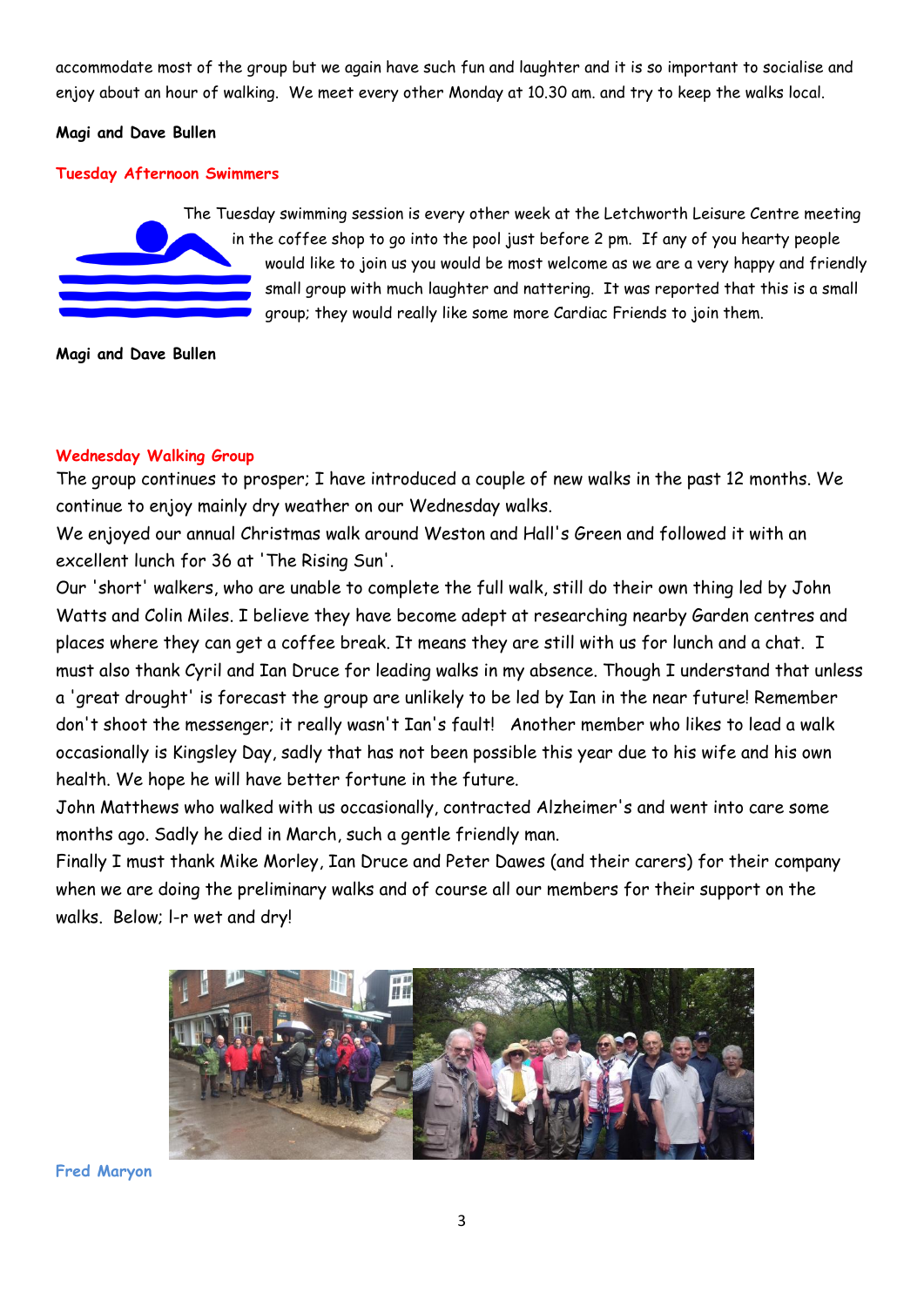accommodate most of the group but we again have such fun and laughter and it is so important to socialise and enjoy about an hour of walking. We meet every other Monday at 10.30 am. and try to keep the walks local.

#### **Magi and Dave Bullen**

#### **Tuesday Afternoon Swimmers**



The Tuesday swimming session is every other week at the Letchworth Leisure Centre meeting in the coffee shop to go into the pool just before 2 pm. If any of you hearty people would like to join us you would be most welcome as we are a very happy and friendly small group with much laughter and nattering. It was reported that this is a small group; they would really like some more Cardiac Friends to join them.

**Magi and Dave Bullen**

### **Wednesday Walking Group**

The group continues to prosper; I have introduced a couple of new walks in the past 12 months. We continue to enjoy mainly dry weather on our Wednesday walks.

We enjoyed our annual Christmas walk around Weston and Hall's Green and followed it with an excellent lunch for 36 at 'The Rising Sun'.

Our 'short' walkers, who are unable to complete the full walk, still do their own thing led by John Watts and Colin Miles. I believe they have become adept at researching nearby Garden centres and places where they can get a coffee break. It means they are still with us for lunch and a chat. I must also thank Cyril and Ian Druce for leading walks in my absence. Though I understand that unless a 'great drought' is forecast the group are unlikely to be led by Ian in the near future! Remember don't shoot the messenger; it really wasn't Ian's fault! Another member who likes to lead a walk occasionally is Kingsley Day, sadly that has not been possible this year due to his wife and his own health. We hope he will have better fortune in the future.

John Matthews who walked with us occasionally, contracted Alzheimer's and went into care some months ago. Sadly he died in March, such a gentle friendly man.

Finally I must thank Mike Morley, Ian Druce and Peter Dawes (and their carers) for their company when we are doing the preliminary walks and of course all our members for their support on the walks. Below; l-r wet and dry!



**Fred Maryon**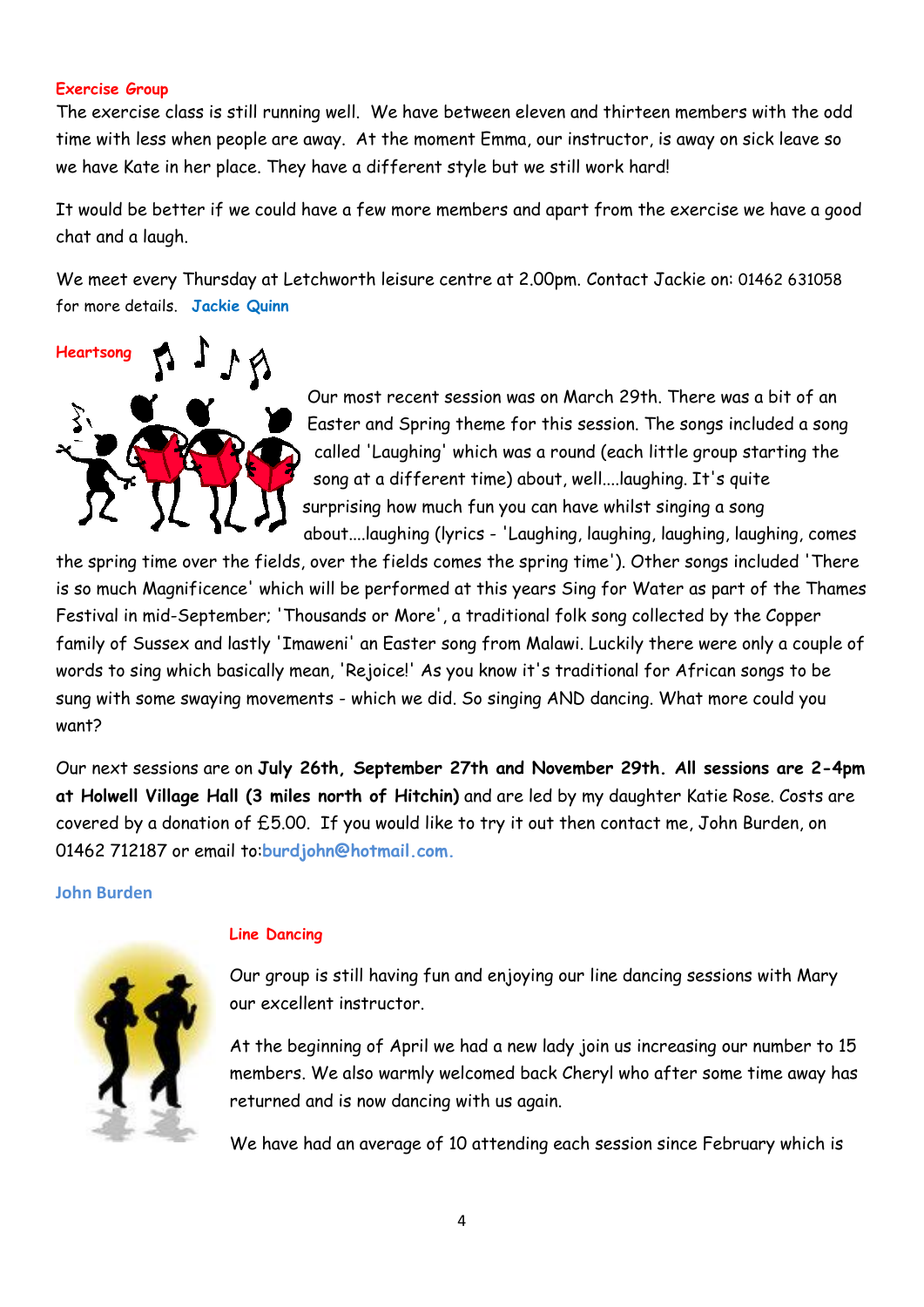#### **Exercise Group**

The exercise class is still running well. We have between eleven and thirteen members with the odd time with less when people are away. At the moment Emma, our instructor, is away on sick leave so we have Kate in her place. They have a different style but we still work hard!

It would be better if we could have a few more members and apart from the exercise we have a good chat and a laugh.

We meet every Thursday at Letchworth leisure centre at 2.00pm. Contact Jackie on: 01462 631058 for more details. **Jackie Quinn**



Our most recent session was on March 29th. There was a bit of an Easter and Spring theme for this session. The songs included a song called 'Laughing' which was a round (each little group starting the song at a different time) about, well....laughing. It's quite surprising how much fun you can have whilst singing a song about....laughing (lyrics - 'Laughing, laughing, laughing, laughing, comes

the spring time over the fields, over the fields comes the spring time'). Other songs included 'There is so much Magnificence' which will be performed at this years Sing for Water as part of the Thames Festival in mid-September; 'Thousands or More', a traditional folk song collected by the Copper family of Sussex and lastly 'Imaweni' an Easter song from Malawi. Luckily there were only a couple of words to sing which basically mean, 'Rejoice!' As you know it's traditional for African songs to be sung with some swaying movements - which we did. So singing AND dancing. What more could you want?

Our next sessions are on **July 26th, September 27th and November 29th. All sessions are 2-4pm at Holwell Village Hall (3 miles north of Hitchin)** and are led by my daughter Katie Rose. Costs are covered by a donation of £5.00. If you would like to try it out then contact me, John Burden, on 01462 712187 or email to:**burdjohn@hotmail.com.**

#### **John Burden**



### **Line Dancing**

Our group is still having fun and enjoying our line dancing sessions with Mary our excellent instructor.

At the beginning of April we had a new lady join us increasing our number to 15 members. We also warmly welcomed back Cheryl who after some time away has returned and is now dancing with us again.

We have had an average of 10 attending each session since February which is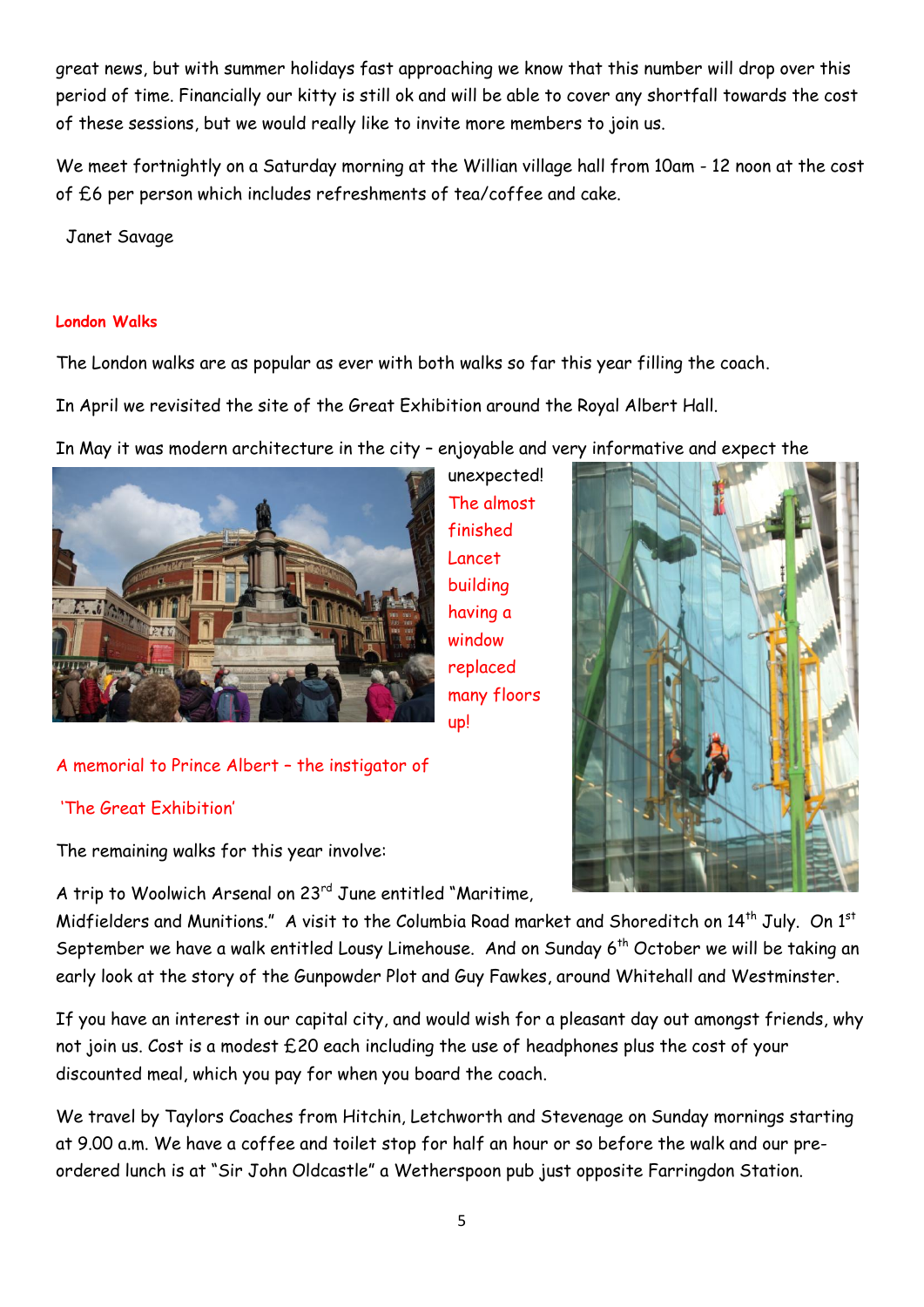great news, but with summer holidays fast approaching we know that this number will drop over this period of time. Financially our kitty is still ok and will be able to cover any shortfall towards the cost of these sessions, but we would really like to invite more members to join us.

We meet fortnightly on a Saturday morning at the Willian village hall from 10am - 12 noon at the cost of £6 per person which includes refreshments of tea/coffee and cake.

Janet Savage

### **London Walks**

The London walks are as popular as ever with both walks so far this year filling the coach.

In April we revisited the site of the Great Exhibition around the Royal Albert Hall.

In May it was modern architecture in the city – enjoyable and very informative and expect the

unexpected! The almost finished Lancet building having a window replaced many floors



# A memorial to Prince Albert – the instigator of

# 'The Great Exhibition'

The remaining walks for this year involve:

A trip to Woolwich Arsenal on 23rd June entitled "Maritime,

Midfielders and Munitions." A visit to the Columbia Road market and Shoreditch on 14<sup>th</sup> July. On 1<sup>st</sup> September we have a walk entitled Lousy Limehouse. And on Sunday 6<sup>th</sup> October we will be taking an early look at the story of the Gunpowder Plot and Guy Fawkes, around Whitehall and Westminster.

up!

If you have an interest in our capital city, and would wish for a pleasant day out amongst friends, why not join us. Cost is a modest £20 each including the use of headphones plus the cost of your discounted meal, which you pay for when you board the coach.

We travel by Taylors Coaches from Hitchin, Letchworth and Stevenage on Sunday mornings starting at 9.00 a.m. We have a coffee and toilet stop for half an hour or so before the walk and our preordered lunch is at "Sir John Oldcastle" a Wetherspoon pub just opposite Farringdon Station.